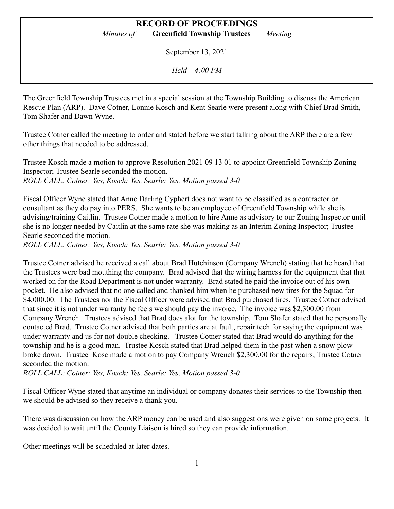## **RECORD OF PROCEEDINGS**

*Minutes of* **Greenfield Township Trustees** *Meeting*

September 13, 2021

*Held 4:00 PM*

The Greenfield Township Trustees met in a special session at the Township Building to discuss the American Rescue Plan (ARP). Dave Cotner, Lonnie Kosch and Kent Searle were present along with Chief Brad Smith, Tom Shafer and Dawn Wyne.

Trustee Cotner called the meeting to order and stated before we start talking about the ARP there are a few other things that needed to be addressed.

Trustee Kosch made a motion to approve Resolution 2021 09 13 01 to appoint Greenfield Township Zoning Inspector; Trustee Searle seconded the motion. *ROLL CALL: Cotner: Yes, Kosch: Yes, Searle: Yes, Motion passed 3-0*

Fiscal Officer Wyne stated that Anne Darling Cyphert does not want to be classified as a contractor or consultant as they do pay into PERS. She wants to be an employee of Greenfield Township while she is advising/training Caitlin. Trustee Cotner made a motion to hire Anne as advisory to our Zoning Inspector until she is no longer needed by Caitlin at the same rate she was making as an Interim Zoning Inspector; Trustee Searle seconded the motion.

*ROLL CALL: Cotner: Yes, Kosch: Yes, Searle: Yes, Motion passed 3-0*

Trustee Cotner advised he received a call about Brad Hutchinson (Company Wrench) stating that he heard that the Trustees were bad mouthing the company. Brad advised that the wiring harness for the equipment that that worked on for the Road Department is not under warranty. Brad stated he paid the invoice out of his own pocket. He also advised that no one called and thanked him when he purchased new tires for the Squad for \$4,000.00. The Trustees nor the Fiscal Officer were advised that Brad purchased tires. Trustee Cotner advised that since it is not under warranty he feels we should pay the invoice. The invoice was \$2,300.00 from Company Wrench. Trustees advised that Brad does alot for the township. Tom Shafer stated that he personally contacted Brad. Trustee Cotner advised that both parties are at fault, repair tech for saying the equipment was under warranty and us for not double checking. Trustee Cotner stated that Brad would do anything for the township and he is a good man. Trustee Kosch stated that Brad helped them in the past when a snow plow broke down. Trustee Kosc made a motion to pay Company Wrench \$2,300.00 for the repairs; Trustee Cotner seconded the motion.

*ROLL CALL: Cotner: Yes, Kosch: Yes, Searle: Yes, Motion passed 3-0*

Fiscal Officer Wyne stated that anytime an individual or company donates their services to the Township then we should be advised so they receive a thank you.

There was discussion on how the ARP money can be used and also suggestions were given on some projects. It was decided to wait until the County Liaison is hired so they can provide information.

Other meetings will be scheduled at later dates.